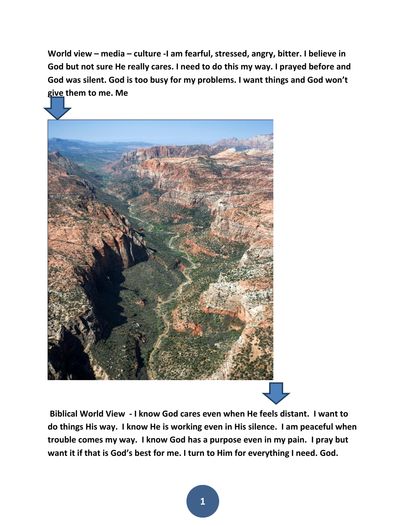**World view – media – culture -I am fearful, stressed, angry, bitter. I believe in God but not sure He really cares. I need to do this my way. I prayed before and God was silent. God is too busy for my problems. I want things and God won't give them to me. Me**



**Biblical World View - I know God cares even when He feels distant. I want to do things His way. I know He is working even in His silence. I am peaceful when trouble comes my way. I know God has a purpose even in my pain. I pray but want it if that is God's best for me. I turn to Him for everything I need. God.**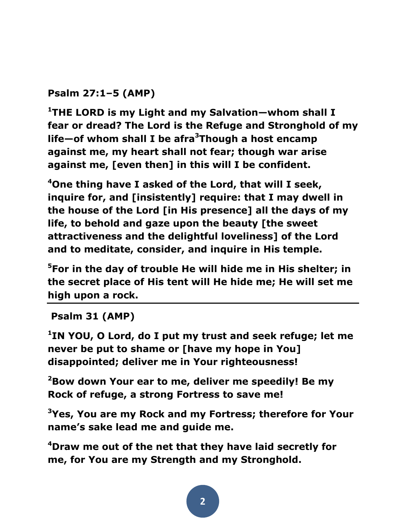**Psalm 27:1–5 (AMP)** 

**<sup>1</sup>THE LORD is my Light and my Salvation—whom shall I fear or dread? The Lord is the Refuge and Stronghold of my life—of whom shall I be afra<sup>3</sup>Though a host encamp against me, my heart shall not fear; though war arise against me, [even then] in this will I be confident.** 

**<sup>4</sup>One thing have I asked of the Lord, that will I seek, inquire for, and [insistently] require: that I may dwell in the house of the Lord [in His presence] all the days of my life, to behold and gaze upon the beauty [the sweet attractiveness and the delightful loveliness] of the Lord and to meditate, consider, and inquire in His temple.** 

**<sup>5</sup>For in the day of trouble He will hide me in His shelter; in the secret place of His tent will He hide me; He will set me high upon a rock.**

## **Psalm 31 (AMP)**

**1 IN YOU, O Lord, do I put my trust and seek refuge; let me never be put to shame or [have my hope in You] disappointed; deliver me in Your righteousness!** 

**<sup>2</sup>Bow down Your ear to me, deliver me speedily! Be my Rock of refuge, a strong Fortress to save me!** 

**<sup>3</sup>Yes, You are my Rock and my Fortress; therefore for Your name's sake lead me and guide me.** 

**<sup>4</sup>Draw me out of the net that they have laid secretly for me, for You are my Strength and my Stronghold.**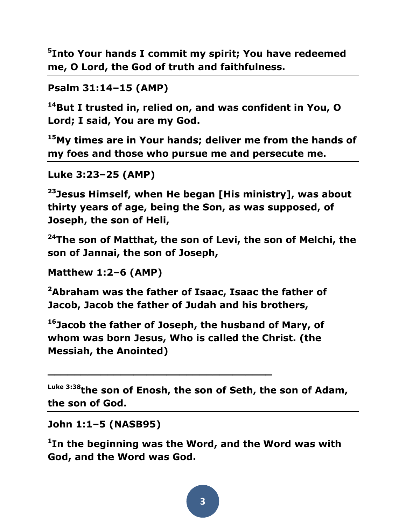**5 Into Your hands I commit my spirit; You have redeemed me, O Lord, the God of truth and faithfulness.** 

```
Psalm 31:14–15 (AMP)
```
**<sup>14</sup>But I trusted in, relied on, and was confident in You, O Lord; I said, You are my God.** 

**<sup>15</sup>My times are in Your hands; deliver me from the hands of my foes and those who pursue me and persecute me.** 

```
Luke 3:23–25 (AMP)
```
**<sup>23</sup>Jesus Himself, when He began [His ministry], was about thirty years of age, being the Son, as was supposed, of Joseph, the son of Heli,** 

**<sup>24</sup>The son of Matthat, the son of Levi, the son of Melchi, the son of Jannai, the son of Joseph,** 

**Matthew 1:2–6 (AMP)** 

**<sup>2</sup>Abraham was the father of Isaac, Isaac the father of Jacob, Jacob the father of Judah and his brothers,** 

**<sup>16</sup>Jacob the father of Joseph, the husband of Mary, of whom was born Jesus, Who is called the Christ. (the Messiah, the Anointed)** 

**\_\_\_\_\_\_\_\_\_\_\_\_\_\_\_\_\_\_\_\_\_\_\_\_\_\_\_\_\_\_\_\_\_\_**

**Luke 3:38the son of Enosh, the son of Seth, the son of Adam, the son of God.** 

**John 1:1–5 (NASB95)** 

**1 In the beginning was the Word, and the Word was with God, and the Word was God.**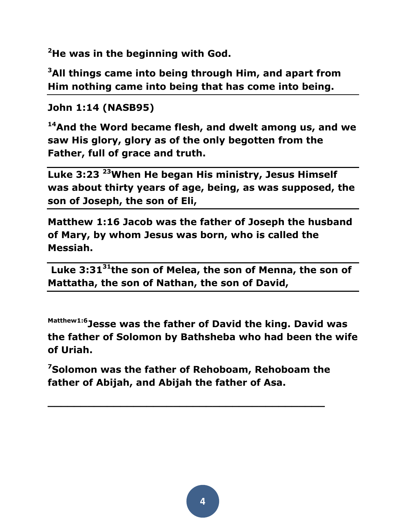**<sup>2</sup>He was in the beginning with God.** 

**<sup>3</sup>All things came into being through Him, and apart from Him nothing came into being that has come into being.** 

**John 1:14 (NASB95)** 

**<sup>14</sup>And the Word became flesh, and dwelt among us, and we saw His glory, glory as of the only begotten from the Father, full of grace and truth.** 

**Luke 3:23 <sup>23</sup>When He began His ministry, Jesus Himself was about thirty years of age, being, as was supposed, the son of Joseph, the son of Eli,** 

**Matthew 1:16 Jacob was the father of Joseph the husband of Mary, by whom Jesus was born, who is called the Messiah.**

**Luke 3:31<sup>31</sup>the son of Melea, the son of Menna, the son of Mattatha, the son of Nathan, the son of David,** 

**Matthew1:6Jesse was the father of David the king. David was the father of Solomon by Bathsheba who had been the wife of Uriah.** 

**<sup>7</sup>Solomon was the father of Rehoboam, Rehoboam the father of Abijah, and Abijah the father of Asa.**

**\_\_\_\_\_\_\_\_\_\_\_\_\_\_\_\_\_\_\_\_\_\_\_\_\_\_\_\_\_\_\_\_\_\_\_\_\_\_\_\_\_\_**